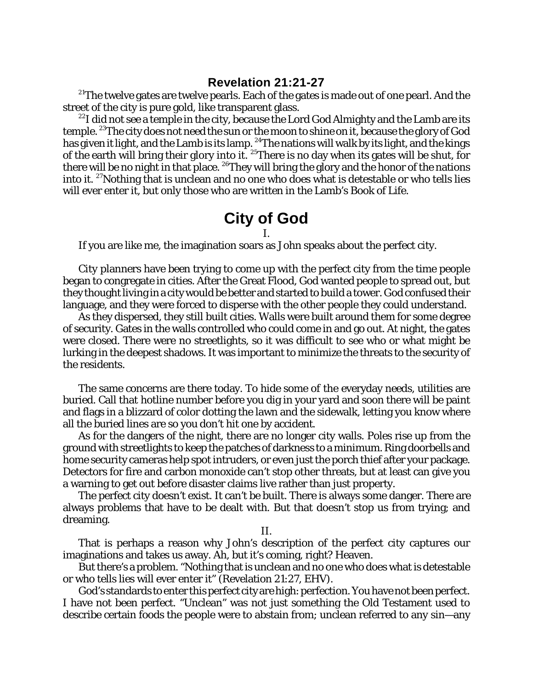$2^{21}$ The twelve gates are twelve pearls. Each of the gates is made out of one pearl. And the street of the city is pure gold, like transparent glass.

 $^{22}$ I did not see a temple in the city, because the Lord God Almighty and the Lamb are its temple. <sup>23</sup>The city does not need the sun or the moon to shine on it, because the glory of God has given it light, and the Lamb is its lamp. <sup>24</sup>The nations will walk by its light, and the kings of the earth will bring their glory into it.  $^{25}$ There is no day when its gates will be shut, for there will be no night in that place.  $^{26}$ They will bring the glory and the honor of the nations into it. <sup>27</sup>Nothing that is unclean and no one who does what is detestable or who tells lies will ever enter it, but only those who are written in the Lamb's Book of Life.

## **City of God**

I.

If you are like me, the imagination soars as John speaks about the perfect city.

City planners have been trying to come up with the perfect city from the time people began to congregate in cities. After the Great Flood, God wanted people to spread out, but they thought living in a city would be better and started to build a tower. God confused their language, and they were forced to disperse with the other people they could understand.

As they dispersed, they still built cities. Walls were built around them for some degree of security. Gates in the walls controlled who could come in and go out. At night, the gates were closed. There were no streetlights, so it was difficult to see who or what might be lurking in the deepest shadows. It was important to minimize the threats to the security of the residents.

The same concerns are there today. To hide some of the everyday needs, utilities are buried. Call that hotline number before you dig in your yard and soon there will be paint and flags in a blizzard of color dotting the lawn and the sidewalk, letting you know where all the buried lines are so you don't hit one by accident.

As for the dangers of the night, there are no longer city walls. Poles rise up from the ground with streetlights to keep the patches of darkness to a minimum. Ring doorbells and home security cameras help spot intruders, or even just the porch thief after your package. Detectors for fire and carbon monoxide can't stop other threats, but at least can give you a warning to get out before disaster claims live rather than just property.

The perfect city doesn't exist. It can't be built. There is always some danger. There are always problems that have to be dealt with. But that doesn't stop us from trying; and dreaming.

II.

That is perhaps a reason why John's description of the perfect city captures our imaginations and takes us away. Ah, but it's coming, right? Heaven.

But there's a problem. "Nothing that is unclean and no one who does what is detestable or who tells lies will ever enter it" (Revelation 21:27, EHV).

God's standards to enter this perfect city are high: perfection. You have not been perfect. I have not been perfect. "Unclean" was not just something the Old Testament used to describe certain foods the people were to abstain from; unclean referred to any sin—any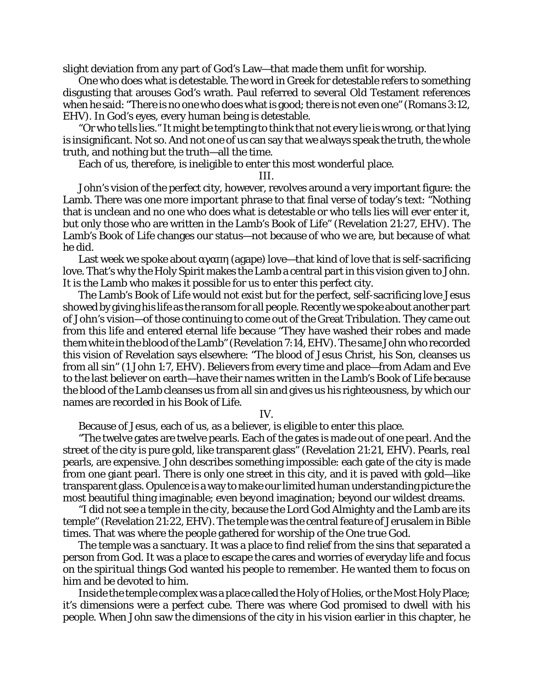slight deviation from any part of God's Law—that made them unfit for worship.

One who does what is detestable. The word in Greek for detestable refers to something disgusting that arouses God's wrath. Paul referred to several Old Testament references when he said: "There is no one who does what is good; there is not even one" (Romans 3:12, EHV). In God's eyes, every human being is detestable.

"Or who tells lies." It might be tempting to think that not every lie is wrong, or that lying is insignificant. Not so. And not one of us can say that we always speak the truth, the whole truth, and nothing but the truth—all the time.

Each of us, therefore, is ineligible to enter this most wonderful place.

III.

John's vision of the perfect city, however, revolves around a very important figure: the Lamb. There was one more important phrase to that final verse of today's text: "Nothing that is unclean and no one who does what is detestable or who tells lies will ever enter it, but only those who are written in the Lamb's Book of Life" (Revelation 21:27, EHV). The Lamb's Book of Life changes our status—not because of who *we* are, but because of what *he* did.

Last week we spoke about (agape) love—that kind of love that is self-sacrificing love. That's why the Holy Spirit makes the Lamb a central part in this vision given to John. It is the Lamb who makes it possible for us to enter this perfect city.

The Lamb's Book of Life would not exist but for the perfect, self-sacrificing love Jesus showed by giving his life as the ransom for all people. Recently we spoke about another part of John's vision—of those continuing to come out of the Great Tribulation. They came out from this life and entered eternal life because "They have washed their robes and made them white in the blood ofthe Lamb" (Revelation 7:14,EHV). The same John who recorded this vision of Revelation says elsewhere: "The blood of Jesus Christ, his Son, cleanses us from all sin" (1 John 1:7, EHV). Believers from every time and place—from Adam and Eve to the last believer on earth—have their names written in the Lamb's Book of Life because the blood of the Lamb cleanses us from all sin and gives us his righteousness, by which our names are recorded in his Book of Life.

IV.

Because of Jesus, each of us, as a believer, *is* eligible to enter this place.

"The twelve gates are twelve pearls. Each of the gates is made out of one pearl. And the street of the city is pure gold, like transparent glass" (Revelation 21:21, EHV). Pearls, *real* pearls, are expensive. John describes something impossible: each gate of the city is made from one giant pearl. There is only one street in this city, and it is paved with gold—like transparent glass. Opulence is a way to make our limited human understanding picture the most beautiful thing imaginable; even *beyond* imagination; beyond our wildest dreams.

"I did not see a temple in the city, because the Lord God Almighty and the Lamb are its temple" (Revelation 21:22, EHV). The temple was the central feature of Jerusalem in Bible times. That was where the people gathered for worship of the One true God.

The temple was a sanctuary. It was a place to find relief from the sins that separated a person from God. It was a place to escape the cares and worries of everyday life and focus on the *spiritual* things God wanted his people to remember. He wanted them to focus on him and be devoted to him.

Inside the temple complex was a place called the Holy of Holies, or the Most Holy Place; it's dimensions were a perfect cube. There was where God promised to dwell with his people. When John saw the dimensions of the city in his vision earlier in this chapter, he